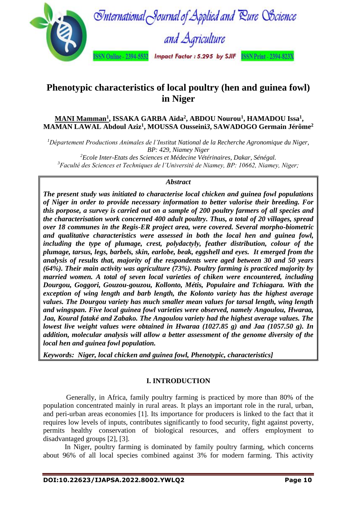

# **Phenotypic characteristics of local poultry (hen and guinea fowl) in Niger**

# **MANI Mamman<sup>1</sup> , ISSAKA GARBA Aïda<sup>2</sup> , ABDOU Nourou<sup>1</sup> , HAMADOU Issa<sup>1</sup> , MAMAN LAWAL Abdoul Aziz<sup>1</sup> , MOUSSA Ousseini***3***, SAWADOGO Germain Jérôme<sup>2</sup>**

*<sup>1</sup>Département Productions Animales de l'Institut National de la Recherche Agronomique du Niger, BP: 429, Niamey Niger <sup>2</sup>Ecole Inter-Etats des Sciences et Médecine Vétérinaires, Dakar, Sénégal.*

*<sup>3</sup>Faculté des Sciences et Techniques de l'Université de Niamey, BP: 10662, Niamey, Niger;*

# *Abstract*

*The present study was initiated to characterise local chicken and guinea fowl populations of Niger in order to provide necessary information to better valorise their breeding. For this porpose, a survey is carried out on a sample of 200 poultry farmers of all species and the characterisation work concerned 400 adult poultry. Thus, a total of 20 villages, spread over 18 communes in the Regis-ER project area, were covered. Several morpho-biometric and qualitative characteristics were assessed in both the local hen and guinea fowl, including the type of plumage, crest, polydactyly, feather distribution, colour of the plumage, tarsus, legs, barbels, skin, earlobe, beak, eggshell and eyes. It emerged from the analysis of results that, majority of the respondents were aged between 30 and 50 years (64%). Their main activity was agriculture (73%). Poultry farming is practiced majority by married women. A total of seven local varieties of chiken were encountered, including Dourgou, Goggori, Gouzou-gouzou, Kollonto, Métis, Populaire and Tchiagara. With the exception of wing length and barb length, the Kolonto variety has the highest average values. The Dourgou variety has much smaller mean values for tarsal length, wing length and wingspan. Five local guinea fowl varieties were observed, namely Angoulou, Hwaraa, Jaa, Koural fataké and Zabako. The Angoulou variety had the highest average values. The lowest live weight values were obtained in Hwaraa (1027.85 g) and Jaa (1057.50 g). In addition, molecular analysis will allow a better assessment of the genome diversity of the local hen and guinea fowl population.*

*Keywords: Niger, local chicken and guinea fowl, Phenotypic, characteristics]*

# **I. INTRODUCTION**

Generally, in Africa, family poultry farming is practiced by more than 80% of the population concentrated mainly in rural areas. It plays an important role in the rural, urban, and peri-urban areas economies [1]. Its importance for producers is linked to the fact that it requires low levels of inputs, contributes significantly to food security, fight against poverty, permits healthy conservation of biological resources, and offers employment to disadvantaged groups [2], [3].

In Niger, poultry farming is dominated by family poultry farming, which concerns about 96% of all local species combined against 3% for modern farming. This activity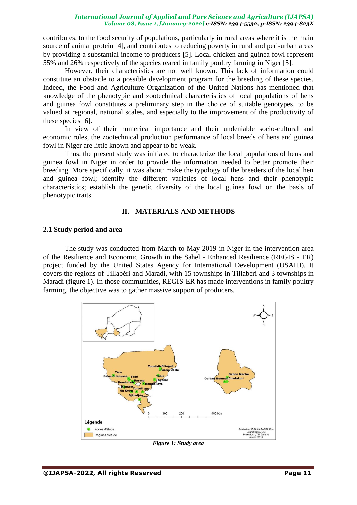contributes, to the food security of populations, particularly in rural areas where it is the main source of animal protein [4], and contributes to reducing poverty in rural and peri-urban areas by providing a substantial income to producers [5]. Local chicken and guinea fowl represent 55% and 26% respectively of the species reared in family poultry farming in Niger [5].

However, their characteristics are not well known. This lack of information could constitute an obstacle to a possible development program for the breeding of these species. Indeed, the Food and Agriculture Organization of the United Nations has mentioned that knowledge of the phenotypic and zootechnical characteristics of local populations of hens and guinea fowl constitutes a preliminary step in the choice of suitable genotypes, to be valued at regional, national scales, and especially to the improvement of the productivity of these species [6].

In view of their numerical importance and their undeniable socio-cultural and economic roles, the zootechnical production performance of local breeds of hens and guinea fowl in Niger are little known and appear to be weak.

Thus, the present study was initiated to characterize the local populations of hens and guinea fowl in Niger in order to provide the information needed to better promote their breeding. More specifically, it was about: make the typology of the breeders of the local hen and guinea fowl; identify the different varieties of local hens and their phenotypic characteristics; establish the genetic diversity of the local guinea fowl on the basis of phenotypic traits.

### **II. MATERIALS AND METHODS**

#### **2.1 Study period and area**

The study was conducted from March to May 2019 in Niger in the intervention area of the Resilience and Economic Growth in the Sahel - Enhanced Resilience (REGIS - ER) project funded by the United States Agency for International Development (USAID). It covers the regions of Tillabéri and Maradi, with 15 townships in Tillabéri and 3 townships in Maradi (figure 1). In those communities, REGIS-ER has made interventions in family poultry farming, the objective was to gather massive support of producers.



*Figure 1: Study area*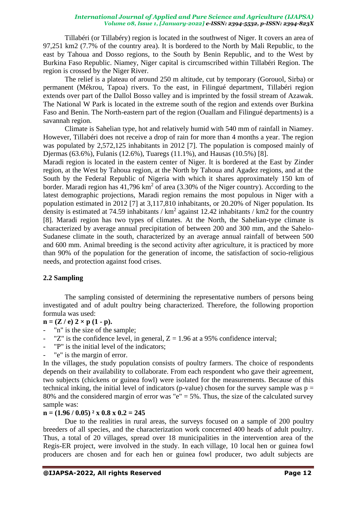Tillabéri (or Tillabéry) region is located in the southwest of Niger. It covers an area of 97,251 km2 (7.7% of the country area). It is bordered to the North by Mali Republic, to the east by Tahoua and Dosso regions, to the South by Benin Republic, and to the West by Burkina Faso Republic. Niamey, Niger capital is circumscribed within Tillabéri Region. The region is crossed by the Niger River.

The relief is a plateau of around 250 m altitude, cut by temporary (Gorouol, Sirba) or permanent (Mékrou, Tapoa) rivers. To the east, in Filingué department, Tillabéri region extends over part of the Dallol Bosso valley and is imprinted by the fossil stream of Azawak. The National W Park is located in the extreme south of the region and extends over Burkina Faso and Benin. The North-eastern part of the region (Ouallam and Filingué departments) is a savannah region.

Climate is Sahelian type, hot and relatively humid with 540 mm of rainfall in Niamey. However, Tillabéri does not receive a drop of rain for more than 4 months a year. The region was populated by 2,572,125 inhabitants in 2012 [7]. The population is composed mainly of Djermas (63.6%), Fulanis (12.6%), Tuaregs (11.1%), and Hausas (10.5%) [8].

Maradi region is located in the eastern center of Niger. It is bordered at the East by Zinder region, at the West by Tahoua region, at the North by Tahoua and Agadez regions, and at the South by the Federal Republic of Nigeria with which it shares approximately 150 km of border. Maradi region has  $41,796 \text{ km}^2$  of area (3.30% of the Niger country). According to the latest demographic projections, Maradi region remains the most populous in Niger with a population estimated in 2012 [7] at 3,117,810 inhabitants, or 20.20% of Niger population. Its density is estimated at 74.59 inhabitants /  $km^2$  against 12.42 inhabitants / km2 for the country [8]. Maradi region has two types of climates. At the North, the Sahelian-type climate is characterized by average annual precipitation of between 200 and 300 mm, and the Sahelo-Sudanese climate in the south, characterized by an average annual rainfall of between 500 and 600 mm. Animal breeding is the second activity after agriculture, it is practiced by more than 90% of the population for the generation of income, the satisfaction of socio-religious needs, and protection against food crises.

# **2.2 Sampling**

The sampling consisted of determining the representative numbers of persons being investigated and of adult poultry being characterized. Therefore, the following proportion formula was used:

 $n = (Z / e) 2 \times p (1 - p).$ 

- "n" is the size of the sample;
- "Z" is the confidence level, in general,  $Z = 1.96$  at a 95% confidence interval;
- "P" is the initial level of the indicators;
- "e" is the margin of error.

In the villages, the study population consists of poultry farmers. The choice of respondents depends on their availability to collaborate. From each respondent who gave their agreement, two subjects (chickens or guinea fowl) were isolated for the measurements. Because of this technical inking, the initial level of indicators (p-value) chosen for the survey sample was  $p =$ 80% and the considered margin of error was "e" = 5%. Thus, the size of the calculated survey sample was:

# **n = (1.96 / 0.05) ² x 0.8 x 0.2 = 245**

Due to the realities in rural areas, the surveys focused on a sample of 200 poultry breeders of all species, and the characterization work concerned 400 heads of adult poultry. Thus, a total of 20 villages, spread over 18 municipalities in the intervention area of the Regis-ER project, were involved in the study. In each village, 10 local hen or guinea fowl producers are chosen and for each hen or guinea fowl producer, two adult subjects are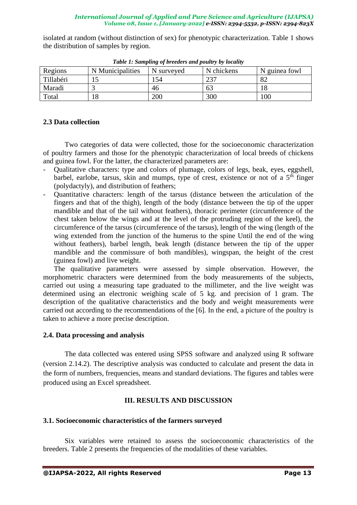isolated at random (without distinction of sex) for phenotypic characterization. Table 1 shows the distribution of samples by region.

| Regions   | N Municipalities | N surveyed | N chickens | N guinea fowl |
|-----------|------------------|------------|------------|---------------|
| Tillabéri |                  | 54         | าวา        | റ<br>ΩŹ       |
| Maradi    |                  | 46         | 63         |               |
| Total     | .                | 200        | 300        | 100           |

*Table 1: Sampling of breeders and poultry by locality*

# **2.3 Data collection**

Two categories of data were collected, those for the socioeconomic characterization of poultry farmers and those for the phenotypic characterization of local breeds of chickens and guinea fowl. For the latter, the characterized parameters are:

- Qualitative characters: type and colors of plumage, colors of legs, beak, eyes, eggshell, barbel, earlobe, tarsus, skin and mumps, type of crest, existence or not of a  $5<sup>th</sup>$  finger (polydactyly), and distribution of feathers;
- Quantitative characters: length of the tarsus (distance between the articulation of the fingers and that of the thigh), length of the body (distance between the tip of the upper mandible and that of the tail without feathers), thoracic perimeter (circumference of the chest taken below the wings and at the level of the protruding region of the keel), the circumference of the tarsus (circumference of the tarsus), length of the wing (length of the wing extended from the junction of the humerus to the spine Until the end of the wing without feathers), barbel length, beak length (distance between the tip of the upper mandible and the commissure of both mandibles), wingspan, the height of the crest (guinea fowl) and live weight.

The qualitative parameters were assessed by simple observation. However, the morphometric characters were determined from the body measurements of the subjects, carried out using a measuring tape graduated to the millimeter, and the live weight was determined using an electronic weighing scale of 5 kg. and precision of 1 gram. The description of the qualitative characteristics and the body and weight measurements were carried out according to the recommendations of the [6]. In the end, a picture of the poultry is taken to achieve a more precise description.

# **2.4. Data processing and analysis**

The data collected was entered using SPSS software and analyzed using R software (version 2.14.2). The descriptive analysis was conducted to calculate and present the data in the form of numbers, frequencies, means and standard deviations. The figures and tables were produced using an Excel spreadsheet.

# **III. RESULTS AND DISCUSSION**

# **3.1. Socioeconomic characteristics of the farmers surveyed**

Six variables were retained to assess the socioeconomic characteristics of the breeders. Table 2 presents the frequencies of the modalities of these variables.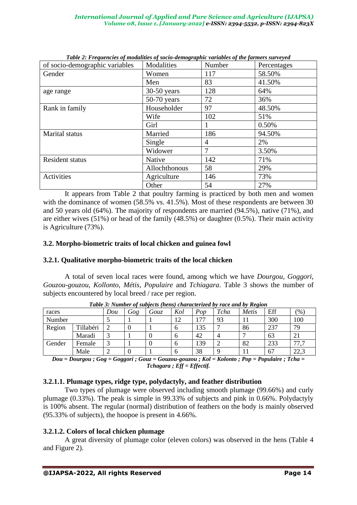| Tubic 2. Preguencies of modulates of socio-aemographic variables of the furniers surveyed<br>of socio-demographic variables | Modalities    | Number | Percentages |  |
|-----------------------------------------------------------------------------------------------------------------------------|---------------|--------|-------------|--|
| Gender                                                                                                                      | Women         | 117    | 58.50%      |  |
|                                                                                                                             | Men           | 83     | 41.50%      |  |
| age range                                                                                                                   | $30-50$ years | 128    | 64%         |  |
|                                                                                                                             | $50-70$ years | 72     | 36%         |  |
| Rank in family                                                                                                              | Householder   | 97     | 48.50%      |  |
|                                                                                                                             | Wife          | 102    | 51%         |  |
|                                                                                                                             | Girl          |        | 0.50%       |  |
| Marital status                                                                                                              | Married       | 186    | 94.50%      |  |
|                                                                                                                             | Single        | 4      | 2%          |  |
|                                                                                                                             | Widower       | 7      | 3.50%       |  |
| Resident status                                                                                                             | <b>Native</b> | 142    | 71%         |  |
|                                                                                                                             | Allochthonous | 58     | 29%         |  |
| <b>Activities</b>                                                                                                           | Agriculture   | 146    | 73%         |  |
|                                                                                                                             | Other         | 54     | 27%         |  |

*Table 2: Frequencies of modalities of socio-demographic variables of the farmers surveyed*

It appears from Table 2 that poultry farming is practiced by both men and women with the dominance of women (58.5% vs. 41.5%). Most of these respondents are between 30 and 50 years old (64%). The majority of respondents are married (94.5%), native (71%), and are either wives (51%) or head of the family (48.5%) or daughter (0.5%). Their main activity is Agriculture (73%).

# **3.2. Morpho-biometric traits of local chicken and guinea fowl**

# **3.2.1. Qualitative morpho-biometric traits of the local chicken**

A total of seven local races were found, among which we have *Dourgou*, *Goggori*, *Gouzou-gouzou*, *Kollonto*, *Métis*, *Populaire* and *Tchiagara*. Table 3 shows the number of subjects encountered by local breed / race per region.

|        | Tuble 5. Thumber of subfects (hens) characterized by ruce and by Rexion |     |     |      |     |     |      |       |     |       |
|--------|-------------------------------------------------------------------------|-----|-----|------|-----|-----|------|-------|-----|-------|
| races  |                                                                         | Dou | Gog | Gouz | Kol | Pop | Tcha | Metis | Eff | (9/0) |
| Number |                                                                         |     |     |      | 12  |     | 93   |       | 300 | 100   |
| Region | Tillabéri                                                               |     |     |      | n   | 135 |      | 86    | 237 | 79    |
|        | Maradi                                                                  |     |     |      | n   | 42  | 4    |       | 63  | 21    |
| Gender | Female                                                                  |     |     |      | n   | 139 |      | 82    | 233 | 77.   |
|        | Male                                                                    |     |     |      | n   | 38  |      |       | 67  | 22,3  |

*Table 3: Number of subjects (hens) characterized by race and by Region*

*Dou = Dourgou ; Gog = Goggori ; Gouz = Gouzou-gouzou ; Kol = Kolonto ; Pop = Populaire ; Tcha = Tchagara ; Eff = Effectif.*

# **3.2.1.1. Plumage types, ridge type, polydactyly, and feather distribution**

Two types of plumage were observed including smooth plumage (99.66%) and curly plumage (0.33%). The peak is simple in 99.33% of subjects and pink in 0.66%. Polydactyly is 100% absent. The regular (normal) distribution of feathers on the body is mainly observed (95.33% of subjects), the hoopoe is present in 4.66%.

# **3.2.1.2. Colors of local chicken plumage**

A great diversity of plumage color (eleven colors) was observed in the hens (Table 4 and Figure 2).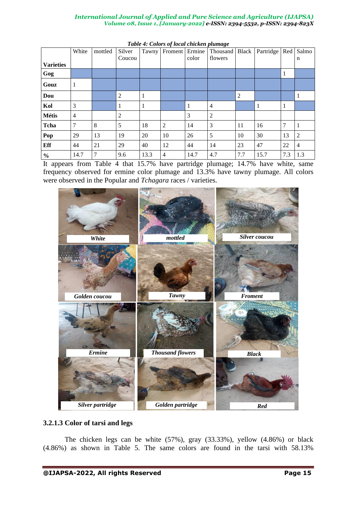|                  | White | mottled | Silver<br>Coucou | Tawny | Froment        | Ermine<br>color | <sub>0</sub> -<br>Thousand   Black<br>flowers |                | Partridge | Red          | Salmo<br>n     |
|------------------|-------|---------|------------------|-------|----------------|-----------------|-----------------------------------------------|----------------|-----------|--------------|----------------|
| <b>Varieties</b> |       |         |                  |       |                |                 |                                               |                |           |              |                |
| Gog              |       |         |                  |       |                |                 |                                               |                |           | $\perp$      |                |
| Gouz             |       |         |                  |       |                |                 |                                               |                |           |              |                |
| Dou              |       |         | $\overline{2}$   |       |                |                 |                                               | $\overline{2}$ |           |              | $\mathbf{1}$   |
| Kol              | 3     |         | 1                | 1     |                | 1               | $\overline{4}$                                |                |           | $\mathbf{I}$ |                |
| <b>Métis</b>     | 4     |         | $\overline{2}$   |       |                | 3               | $\overline{c}$                                |                |           |              |                |
| Tcha             | 7     | 8       | 5                | 18    | $\overline{2}$ | 14              | 3                                             | 11             | 16        | 7            | 1              |
| Pop              | 29    | 13      | 19               | 20    | 10             | 26              | 5                                             | 10             | 30        | 13           | 2              |
| Eff              | 44    | 21      | 29               | 40    | 12             | 44              | 14                                            | 23             | 47        | 22           | $\overline{4}$ |
| $\frac{0}{0}$    | 14.7  | 7       | 9.6              | 13.3  | $\overline{4}$ | 14.7            | 4.7                                           | 7.7            | 15.7      | 7.3          | 1.3            |

|  |  | Table 4: Colors of local chicken plumage |
|--|--|------------------------------------------|
|  |  |                                          |

It appears from Table 4 that 15.7% have partridge plumage; 14.7% have white, same frequency observed for ermine color plumage and 13.3% have tawny plumage. All colors were observed in the Popular and *Tchagara* races / varieties.



# **3.2.1.3 Color of tarsi and legs**

The chicken legs can be white (57%), gray (33.33%), yellow (4.86%) or black (4.86%) as shown in Table 5. The same colors are found in the tarsi with 58.13%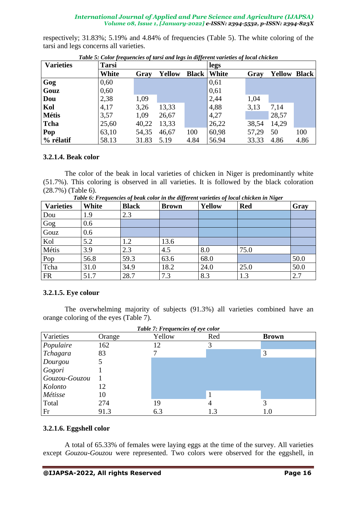respectively; 31.83%; 5.19% and 4.84% of frequencies (Table 5). The white coloring of the tarsi and legs concerns all varieties.

| <b>Varieties</b> | <b>Tarsi</b> |       |               |              | legs         |       |                     |      |
|------------------|--------------|-------|---------------|--------------|--------------|-------|---------------------|------|
|                  | White        | Gray  | <b>Yellow</b> | <b>Black</b> | <b>White</b> | Gray  | <b>Yellow Black</b> |      |
| Gog              | 0,60         |       |               |              | 0,61         |       |                     |      |
| Gouz             | 0,60         |       |               |              | 0,61         |       |                     |      |
| Dou              | 2,38         | 1,09  |               |              | 2,44         | 1,04  |                     |      |
| Kol              | 4,17         | 3,26  | 13,33         |              | 4,88         | 3,13  | 7,14                |      |
| <b>Métis</b>     | 3,57         | 1,09  | 26,67         |              | 4,27         |       | 28,57               |      |
| Tcha             | 25,60        | 40,22 | 13,33         |              | 26,22        | 38,54 | 14,29               |      |
| Pop              | 63,10        | 54,35 | 46,67         | 100          | 60,98        | 57,29 | 50                  | 100  |
| % rélatif        | 58.13        | 31.83 | 5.19          | 4.84         | 56.94        | 33.33 | 4.86                | 4.86 |

*Table 5: Color frequencies of tarsi and legs in different varieties of local chicken*

# **3.2.1.4. Beak color**

The color of the beak in local varieties of chicken in Niger is predominantly white (51.7%). This coloring is observed in all varieties. It is followed by the black coloration (28.7%) (Table 6).

| <b>Varieties</b> | White | $\cdot$<br><b>Black</b> | <br><b>Brown</b> | <b>Yellow</b> | ັ<br><b>Red</b> | Gray |
|------------------|-------|-------------------------|------------------|---------------|-----------------|------|
| Dou              | 1.9   | 2.3                     |                  |               |                 |      |
| Gog              | 0.6   |                         |                  |               |                 |      |
| Gouz             | 0.6   |                         |                  |               |                 |      |
| Kol              | 5.2   | 1.2                     | 13.6             |               |                 |      |
| Métis            | 3.9   | 2.3                     | 4.5              | 8.0           | 75.0            |      |
| Pop              | 56.8  | 59.3                    | 63.6             | 68.0          |                 | 50.0 |
| Tcha             | 31.0  | 34.9                    | 18.2             | 24.0          | 25.0            | 50.0 |
| <b>FR</b>        | 51.7  | 28.7                    | 7.3              | 8.3           | 1.3             | 2.7  |

*Table 6: Frequencies of beak color in the different varieties of local chicken in Niger*

# **3.2.1.5. Eye colour**

The overwhelming majority of subjects (91.3%) all varieties combined have an orange coloring of the eyes (Table 7).

| Table 7: Frequencies of eye color |        |        |     |              |  |  |  |
|-----------------------------------|--------|--------|-----|--------------|--|--|--|
| Varieties                         | Orange | Yellow | Red | <b>Brown</b> |  |  |  |
| Populaire                         | 162    | 12     | 3   |              |  |  |  |
| Tchagara                          | 83     |        |     | 3            |  |  |  |
| Dourgou                           |        |        |     |              |  |  |  |
| Gogori                            |        |        |     |              |  |  |  |
| Gouzou-Gouzou                     |        |        |     |              |  |  |  |
| Kolonto                           | 12     |        |     |              |  |  |  |
| Métisse                           | 10     |        |     |              |  |  |  |
| Total                             | 274    | 19     |     | 3            |  |  |  |
| Fr                                | 91.3   | 6.3    | 1.3 | 1.0          |  |  |  |

# **3.2.1.6. Eggshell color**

A total of 65.33% of females were laying eggs at the time of the survey. All varieties except *Gouzou-Gouzou* were represented. Two colors were observed for the eggshell, in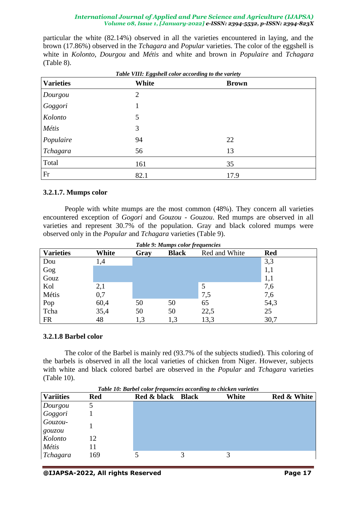particular the white (82.14%) observed in all the varieties encountered in laying, and the brown (17.86%) observed in the *Tchagara* and *Popular* varieties. The color of the eggshell is white in *Kolonto*, *Dourgou* and *Métis* and white and brown in *Populaire* and *Tchagara* (Table 8).

| <b>Varieties</b> | White          | <b>Brown</b> |  |
|------------------|----------------|--------------|--|
| Dourgou          | $\overline{2}$ |              |  |
| Goggori          | 1              |              |  |
| Kolonto          | 5              |              |  |
| Métis            | 3              |              |  |
| Populaire        | 94             | 22           |  |
| Tchagara         | 56             | 13           |  |
| Total            | 161            | 35           |  |
| Fr               | 82.1           | 17.9         |  |

# **3.2.1.7. Mumps color**

People with white mumps are the most common (48%). They concern all varieties encountered exception of *Gogori* and *Gouzou - Gouzou*. Red mumps are observed in all varieties and represent 30.7% of the population. Gray and black colored mumps were observed only in the *Popular* and *Tchagara* varieties (Table 9).

| Table 9: Mumps color frequencies |       |      |              |               |            |  |  |  |
|----------------------------------|-------|------|--------------|---------------|------------|--|--|--|
| <b>Varieties</b>                 | White | Gray | <b>Black</b> | Red and White | <b>Red</b> |  |  |  |
| Dou                              | 1,4   |      |              |               | 3,3        |  |  |  |
| Gog                              |       |      |              |               | 1,1        |  |  |  |
| Gouz                             |       |      |              |               | 1,1        |  |  |  |
| Kol                              | 2,1   |      |              | 5             | 7,6        |  |  |  |
| Métis                            | 0,7   |      |              | 7,5           | 7,6        |  |  |  |
| Pop                              | 60,4  | 50   | 50           | 65            | 54,3       |  |  |  |
| Tcha                             | 35,4  | 50   | 50           | 22,5          | 25         |  |  |  |
| <b>FR</b>                        | 48    | 1,3  | 1,3          | 13,3          | 30,7       |  |  |  |

#### **3.2.1.8 Barbel color**

The color of the Barbel is mainly red (93.7% of the subjects studied). This coloring of the barbels is observed in all the local varieties of chicken from Niger. However, subjects with white and black colored barbel are observed in the *Popular* and *Tchagara* varieties (Table 10).

| <b>Variities</b> | Red | Red & black Black | White | <b>Red &amp; White</b> |
|------------------|-----|-------------------|-------|------------------------|
| Dourgou          |     |                   |       |                        |
| Goggori          |     |                   |       |                        |
| Gouzou-          |     |                   |       |                        |
| gouzou           |     |                   |       |                        |
| Kolonto          | 12  |                   |       |                        |
| Métis            | 11  |                   |       |                        |
| Tchagara         | 169 |                   |       |                        |

*Table 10: Barbel color frequencies according to chicken varieties*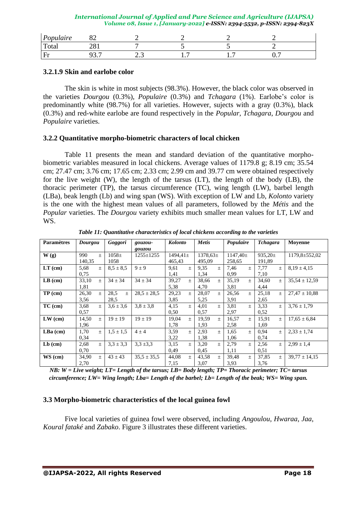| Populaire<br>$\mathbf{r}$<br>~ | ◡▱     |       |     |   |          |
|--------------------------------|--------|-------|-----|---|----------|
| Total                          | 201    |       |     |   |          |
| Fr                             | -<br>، | ر . ب | . . | . | -<br>◡., |

# **3.2.1.9 Skin and earlobe color**

The skin is white in most subjects (98.3%). However, the black color was observed in the varieties *Dourgou* (0.3%), *Populaire* (0.3%) and *Tchagara* (1%). Earlobe's color is predominantly white (98.7%) for all varieties. However, sujects with a gray (0.3%), black (0.3%) and red-white earlobe are found respectively in the *Popular, Tchagara*, *Dourgou* and *Populaire* varieties.

# **3.2.2 Quantitative morpho-biometric characters of local chicken**

Table 11 presents the mean and standard deviation of the quantitative morphobiometric variables measured in local chickens. Average values of 1179.8 g; 8.19 cm; 35.54 cm; 27.47 cm; 3.76 cm; 17.65 cm; 2.33 cm; 2.99 cm and 39.77 cm were obtained respectively for the live weight (W), the length of the tarsus (LT), the length of the body (LB), the thoracic perimeter (TP), the tarsus circumference (TC), wing length (LW), barbel length (LBa), beak length (Lb) and wing span (WS). With exception of LW and Lb, *Kolonto* variety is the one with the highest mean values of all parameters, followed by the *Métis* and the *Popular* varieties. The *Dourgou* variety exhibits much smaller mean values for LT, LW and WS.

| <b>Paramètres</b> | Dourgou |                  | Goggori       | gouzou-         | <b>Kolonto</b> |       | <b>Metis</b>  |                  | Populaire     |       | <b>Tchagara</b> |       | Moyenne             |
|-------------------|---------|------------------|---------------|-----------------|----------------|-------|---------------|------------------|---------------|-------|-----------------|-------|---------------------|
|                   |         |                  |               | gouzou          |                |       |               |                  |               |       |                 |       |                     |
| W(g)              | 990     | $\pm$            | $1058 \pm$    | $1255 \pm 1255$ | $1494,41 \pm$  |       | $1378,63 \pm$ |                  | $1147,40 \pm$ |       | $935,20 \pm$    |       | $1179.8 \pm 552.02$ |
|                   | 140,35  |                  | 1058          |                 | 465,43         |       | 495,09        |                  | 258,65        |       | 191,89          |       |                     |
| $LT$ (cm)         | 5,68    | $\pm$            | $8,5 \pm 8,5$ | $9 \pm 9$       | 9,61           | $\pm$ | 9.35          | $\boldsymbol{+}$ | 7,46          | $\pm$ | 7,77            | $\pm$ | $8,19 \pm 4,15$     |
|                   | 0.75    |                  |               |                 | 1,41           |       | 1,34          |                  | 0,99          |       | 7,10            |       |                     |
| $LB$ (cm)         | 33,10   | $\pm$            | $34 \pm 34$   | $34 \pm 34$     | 39,27          | $+$   | 38,66         | $\boldsymbol{+}$ | 35,19         | $+$   | 34,60           | $\pm$ | $35,54 \pm 12,59$   |
|                   | 1,81    |                  |               |                 | 5,38           |       | 4,70          |                  | 3,81          |       | 4,44            |       |                     |
| $TP$ (cm)         | 26,30   | $\pm$            | 28,5<br>$\pm$ | $28,5 \pm 28,5$ | 29,23          | $\pm$ | 28,07         | $\pm$            | 26,56         | $\pm$ | 25,18           | $\pm$ | $27,47 \pm 10,88$   |
|                   | 3,56    |                  | 28.5          |                 | 3,85           |       | 5,25          |                  | 3.91          |       | 2,65            |       |                     |
| $TC$ (cm)         | 3,68    | $\boldsymbol{+}$ | $3.6 \pm 3.6$ | $3,8 \pm 3,8$   | 4,15           | $\pm$ | 4,01          | $\,+\,$          | 3,81          | $\pm$ | 3,33            | $\pm$ | $3.76 \pm 1.79$     |
|                   | 0,57    |                  |               |                 | 0,50           |       | 0,57          |                  | 2,97          |       | 0,52            |       |                     |
| $LW$ (cm)         | 14,50   | $\pm$            | $19 + 19$     | $19 \pm 19$     | 19,04          | $+$   | 19,59         | $+$              | 16,57         | $\pm$ | 15,91           | $\pm$ | $17,65 \pm 6,84$    |
|                   | 1,96    |                  |               |                 | 1,78           |       | 1,93          |                  | 2,58          |       | 1,69            |       |                     |
| $LBa$ (cm)        | 1,70    | $\pm$            | $1.5 \pm 1.5$ | $4 \pm 4$       | 3.59           | $\pm$ | 2,93          | $\pm$            | 1,65          | $\pm$ | 0.94            | $\pm$ | $2.33 \pm 1.74$     |
|                   | 0,34    |                  |               |                 | 3,22           |       | 1,38          |                  | 1,06          |       | 0,74            |       |                     |
| $Lb$ (cm)         | 2,68    | $\pm$            | $3.3 \pm 3.3$ | $3.3 \pm 3.3$   | 3,15           | $\pm$ | 3,20          | $\pm$            | 2,79          | $\pm$ | 2,56            | $\pm$ | $2.99 \pm 1.4$      |
|                   | 0,70    |                  |               |                 | 0,49           |       | 0.45          |                  | 1,11          |       | 0,51            |       |                     |
| $WS$ (cm)         | 34,90   | $\pm$            | $43 \pm 43$   | $35,5 \pm 35,5$ | 44,08          | $\pm$ | 43,58         | $\pm$            | 39,48         | $\pm$ | 37,85           | $\pm$ | $39,77 \pm 14,15$   |
|                   | 2,70    |                  |               |                 | 7,15           |       | 3,07          |                  | 3,93          |       | 3,76            |       |                     |

*Table 11: Quantitative characteristics of local chickens according to the varieties*

*NB: W = Live weight; LT= Length of the tarsus; LB= Body length; TP= Thoracic perimeter; TC= tarsus circumference; LW= Wing length; Lba= Length of the barbel; Lb= Length of the beak; WS= Wing span.*

# **3.3 Morpho-biometric characteristics of the local guinea fowl**

Five local varieties of guinea fowl were observed, including *Angoulou*, *Hwaraa*, *Jaa*, *Koural fataké* and *Zabako*. Figure 3 illustrates these different varieties.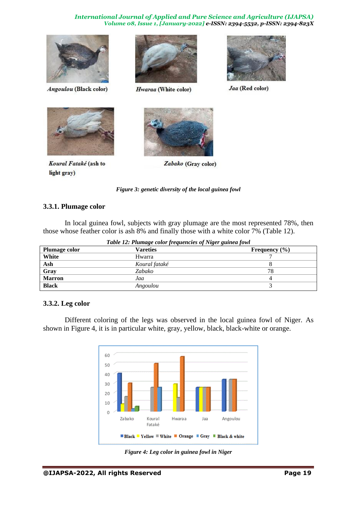

Angoulou (Black color)



Hwaraa (White color)



Jaa (Red color)



Koural Fataké (ash to light gray)



Zabako (Gray color)

*Figure 3: genetic diversity of the local guinea fowl*

# **3.3.1. Plumage color**

In local guinea fowl, subjects with gray plumage are the most represented 78%, then those whose feather color is ash 8% and finally those with a white color 7% (Table 12).

| Table 12: Plumage color frequencies of Niger guinea fowl |               |                   |  |  |  |
|----------------------------------------------------------|---------------|-------------------|--|--|--|
| Plumage color                                            | Vareties      | Frequency $(\% )$ |  |  |  |
| White                                                    | Hwarra        |                   |  |  |  |
| Ash                                                      | Koural fataké |                   |  |  |  |
| Gray                                                     | Zabako        | 78                |  |  |  |
| <b>Marron</b>                                            | Jaa           | 4                 |  |  |  |
| <b>Black</b>                                             | Angoulou      |                   |  |  |  |

# **3.3.2. Leg color**

Different coloring of the legs was observed in the local guinea fowl of Niger. As shown in Figure 4, it is in particular white, gray, yellow, black, black-white or orange.



*Figure 4: Leg color in guinea fowl in Niger*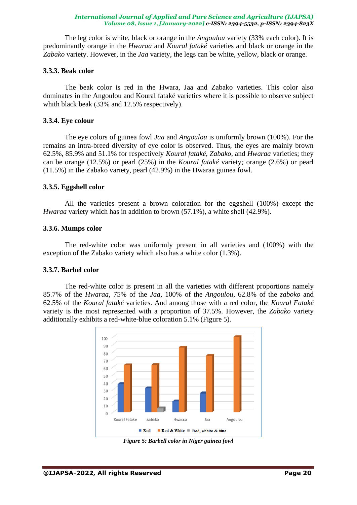The leg color is white, black or orange in the *Angoulou* variety (33% each color). It is predominantly orange in the *Hwaraa* and *Koural fataké* varieties and black or orange in the *Zabako* variety. However, in the *Jaa* variety, the legs can be white, yellow, black or orange.

### **3.3.3. Beak color**

The beak color is red in the Hwara, Jaa and Zabako varieties. This color also dominates in the Angoulou and Koural fataké varieties where it is possible to observe subject whith black beak (33% and 12.5% respectively).

### **3.3.4. Eye colour**

The eye colors of guinea fowl *Jaa* and *Angoulou* is uniformly brown (100%). For the remains an intra-breed diversity of eye color is observed. Thus, the eyes are mainly brown 62.5%, 85.9% and 51.1% for respectively *Koural fataké*, *Zabako*, and *Hwaraa* varieties; they can be orange (12.5%) or pearl (25%) in the *Koural fataké* variety*;* orange (2.6%) or pearl (11.5%) in the Zabako variety, pearl (42.9%) in the Hwaraa guinea fowl.

### **3.3.5. Eggshell color**

All the varieties present a brown coloration for the eggshell (100%) except the *Hwaraa* variety which has in addition to brown (57.1%), a white shell (42.9%).

### **3.3.6. Mumps color**

The red-white color was uniformly present in all varieties and (100%) with the exception of the Zabako variety which also has a white color (1.3%).

# **3.3.7. Barbel color**

The red-white color is present in all the varieties with different proportions namely 85.7% of the *Hwaraa,* 75% of the *Jaa*, 100% of the *Angoulou*, 62.8% of the *zaboko* and 62.5% of the *Koural fataké* varieties. And among those with a red color, the *Koural Fataké* variety is the most represented with a proportion of 37.5%. However, the *Zabako* variety additionally exhibits a red-white-blue coloration 5.1% (Figure 5).



*Figure 5: Barbell color in Niger guinea fowl*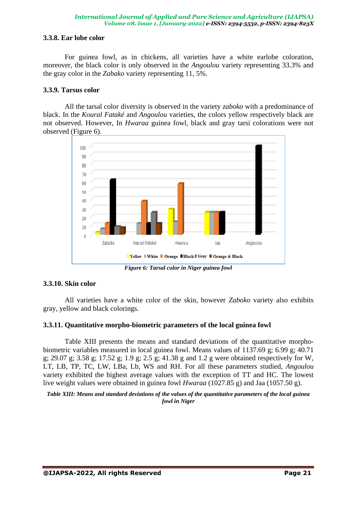# **3.3.8. Ear lobe color**

For guinea fowl, as in chickens, all varieties have a white earlobe coloration, moreover, the black color is only observed in the *Angoulou* variety representing 33.3% and the gray color in the *Zabako* variety representing 11, 5%.

### **3.3.9. Tarsus color**

All the tarsal color diversity is observed in the variety *zaboko* with a predominance of black. In the *Koural Fataké* and *Angoulou* varieties, the colors yellow respectively black are not observed. However, In *Hwaraa* guinea fowl, black and gray tarsi colorations were not observed (Figure 6).



*Figure 6: Tarsal color in Niger guinea fowl*

# **3.3.10. Skin color**

All varieties have a white color of the skin, however *Zaboko* variety also exhibits gray, yellow and black colorings.

# **3.3.11. Quantitative morpho-biometric parameters of the local guinea fowl**

Table XIII presents the means and standard deviations of the quantitative morphobiometric variables measured in local guinea fowl. Means values of 1137.69 g; 6.99 g; 40.71 g; 29.07 g; 3.58 g; 17.52 g; 1.9 g; 2.5 g; 41.38 g and 1.2 g were obtained respectively for W, LT, LB, TP, TC, LW, LBa, Lb, WS and RH. For all these parameters studied, *Angoulou* variety exhibited the highest average values with the exception of TT and HC. The lowest live weight values were obtained in guinea fowl *Hwaraa* (1027.85 g) and Jaa (1057.50 g).

*Table XIII: Means and standard deviations of the values of the quantitative parameters of the local guinea fowl in Niger*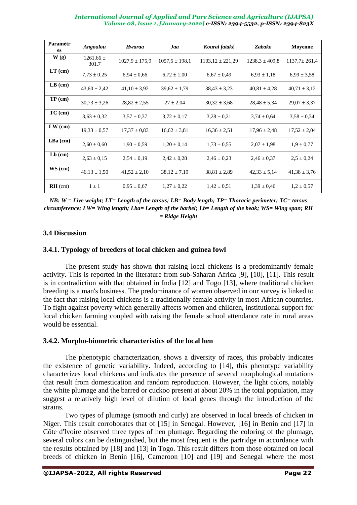| Paramètr<br>es | Angoulou               | Hwaraa             | Jaa                | Koural fataké        | Zabako             | Moyenne            |
|----------------|------------------------|--------------------|--------------------|----------------------|--------------------|--------------------|
| W(g)           | $1261,66 \pm$<br>301,7 | $1027.9 \pm 175.9$ | $1057.5 \pm 198.1$ | $1103,12 \pm 221,29$ | $1238.3 \pm 409.8$ | $1137.7 \pm 261.4$ |
| $LT$ (cm)      | $7,73 \pm 0,25$        | $6,94 \pm 0,66$    | $6,72 \pm 1,00$    | $6,67 \pm 0,49$      | $6,93 \pm 1,18$    | $6,99 \pm 3,58$    |
| $LB$ (cm)      | $43,60 \pm 2,42$       | $41,10 \pm 3,92$   | $39,62 \pm 1,79$   | $38,43 \pm 3,23$     | $40.81 \pm 4.28$   | $40.71 \pm 3.12$   |
| $TP$ (cm)      | $30,73 \pm 3,26$       | $28,82 \pm 2,55$   | $27 \pm 2,04$      | $30.32 \pm 3.68$     | $28,48 \pm 5,34$   | $29.07 \pm 3.37$   |
| $TC$ (cm)      | $3,63 \pm 0,32$        | $3.57 \pm 0.37$    | $3,72 \pm 0,17$    | $3,28 \pm 0,21$      | $3,74 \pm 0,64$    | $3,58 \pm 0,34$    |
| $LW$ (cm)      | $19,33 \pm 0,57$       | $17.37 \pm 0.83$   | $16,62 \pm 3,81$   | $16.36 \pm 2.51$     | $17.96 \pm 2.48$   | $17,52 \pm 2,04$   |
| $LBa$ (cm)     | $2,60 \pm 0,60$        | $1,90 \pm 0.59$    | $1,20 \pm 0,14$    | $1,73 \pm 0.55$      | $2.07 \pm 1.98$    | $1.9 \pm 0.77$     |
| $Lb$ (cm)      | $2,63 \pm 0,15$        | $2,54 \pm 0.19$    | $2,42 \pm 0,28$    | $2,46 \pm 0,23$      | $2,46 \pm 0.37$    | $2,5 \pm 0,24$     |
| $WS$ (cm)      | $46.13 \pm 1.50$       | $41,52 \pm 2,10$   | $38,12 \pm 7,19$   | $38,81 \pm 2,89$     | $42.33 \pm 5.14$   | $41,38 \pm 3,76$   |
| $RH$ (cm)      | $1 \pm 1$              | $0.95 \pm 0.67$    | $1,27 \pm 0,22$    | $1,42 \pm 0,51$      | $1,39 \pm 0,46$    | $1,2 \pm 0.57$     |

*NB: W = Live weight; LT= Length of the tarsus; LB= Body length; TP= Thoracic perimeter; TC= tarsus circumference; LW= Wing length; Lba= Length of the barbel; Lb= Length of the beak; WS= Wing span; RH = Ridge Height*

# **3.4 Discussion**

# **3.4.1. Typology of breeders of local chicken and guinea fowl**

The present study has shown that raising local chickens is a predominantly female activity. This is reported in the literature from sub-Saharan Africa [9], [10], [11]. This result is in contradiction with that obtained in India [12] and Togo [13], where traditional chicken breeding is a man's business. The predominance of women observed in our survey is linked to the fact that raising local chickens is a traditionally female activity in most African countries. To fight against poverty which generally affects women and children, institutional support for local chicken farming coupled with raising the female school attendance rate in rural areas would be essential.

# **3.4.2. Morpho-biometric characteristics of the local hen**

The phenotypic characterization, shows a diversity of races, this probably indicates the existence of genetic variability. Indeed, according to [14], this phenotype variability characterizes local chickens and indicates the presence of several morphological mutations that result from domestication and random reproduction. However, the light colors, notably the white plumage and the barred or cuckoo present at about 20% in the total population, may suggest a relatively high level of dilution of local genes through the introduction of the strains.

Two types of plumage (smooth and curly) are observed in local breeds of chicken in Niger. This result corroborates that of [15] in Senegal. However, [16] in Benin and [17] in Côte d'Ivoire observed three types of hen plumage. Regarding the coloring of the plumage, several colors can be distinguished, but the most frequent is the partridge in accordance with the results obtained by [18] and [13] in Togo. This result differs from those obtained on local breeds of chicken in Benin [16], Cameroon [10] and [19] and Senegal where the most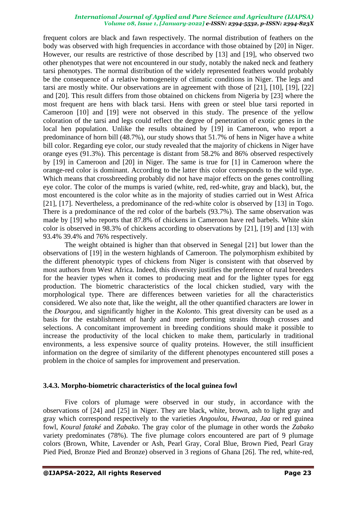frequent colors are black and fawn respectively. The normal distribution of feathers on the body was observed with high frequencies in accordance with those obtained by [20] in Niger. However, our results are restrictive of those described by [13] and [19], who observed two other phenotypes that were not encountered in our study, notably the naked neck and feathery tarsi phenotypes. The normal distribution of the widely represented feathers would probably be the consequence of a relative homogeneity of climatic conditions in Niger. The legs and tarsi are mostly white. Our observations are in agreement with those of [21], [10], [19], [22] and [20]. This result differs from those obtained on chickens from Nigeria by [23] where the most frequent are hens with black tarsi. Hens with green or steel blue tarsi reported in Cameroon [10] and [19] were not observed in this study. The presence of the yellow coloration of the tarsi and legs could reflect the degree of penetration of exotic genes in the local hen population. Unlike the results obtained by [19] in Cameroon, who report a predominance of horn bill (48.7%), our study shows that 51.7% of hens in Niger have a white bill color. Regarding eye color, our study revealed that the majority of chickens in Niger have orange eyes (91.3%). This percentage is distant from 58.2% and 86% observed respectively by [19] in Cameroon and [20] in Niger. The same is true for [1] in Cameroon where the orange-red color is dominant. According to the latter this color corresponds to the wild type. Which means that crossbreeding probably did not have major effects on the genes controlling eye color. The color of the mumps is varied (white, red, red-white, gray and black), but, the most encountered is the color white as in the majority of studies carried out in West Africa [21], [17]. Nevertheless, a predominance of the red-white color is observed by [13] in Togo. There is a predominance of the red color of the barbels (93.7%). The same observation was made by [19] who reports that 87.8% of chickens in Cameroon have red barbels. White skin color is observed in 98.3% of chickens according to observations by [21], [19] and [13] with 93.4% 39.4% and 76% respectively.

The weight obtained is higher than that observed in Senegal [21] but lower than the observations of [19] in the western highlands of Cameroon. The polymorphism exhibited by the different phenotypic types of chickens from Niger is consistent with that observed by most authors from West Africa. Indeed, this diversity justifies the preference of rural breeders for the heavier types when it comes to producing meat and for the lighter types for egg production. The biometric characteristics of the local chicken studied, vary with the morphological type. There are differences between varieties for all the characteristics considered. We also note that, like the weight, all the other quantified characters are lower in the *Dourgou*, and significantly higher in the *Kolonto*. This great diversity can be used as a basis for the establishment of hardy and more performing strains through crosses and selections. A concomitant improvement in breeding conditions should make it possible to increase the productivity of the local chicken to make them, particularly in traditional environments, a less expensive source of quality proteins. However, the still insufficient information on the degree of similarity of the different phenotypes encountered still poses a problem in the choice of samples for improvement and preservation.

### **3.4.3. Morpho-biometric characteristics of the local guinea fowl**

Five colors of plumage were observed in our study, in accordance with the observations of [24] and [25] in Niger. They are black, white, brown, ash to light gray and gray which correspond respectively to the varieties *Angoulou*, *Hwaraa*, *Jaa* or red guinea fowl, *Koural fataké* and *Zabako*. The gray color of the plumage in other words the *Zabako* variety predominates (78%). The five plumage colors encountered are part of 9 plumage colors (Brown, White, Lavender or Ash, Pearl Gray, Coral Blue, Brown Pied, Pearl Gray Pied Pied, Bronze Pied and Bronze) observed in 3 regions of Ghana [26]. The red, white-red,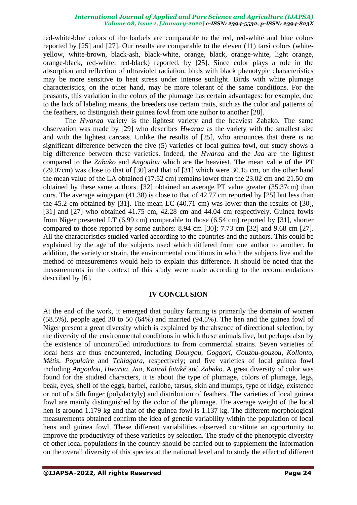red-white-blue colors of the barbels are comparable to the red, red-white and blue colors reported by [25] and [27]. Our results are comparable to the eleven (11) tarsi colors (whiteyellow, white-brown, black-ash, black-white, orange, black, orange-white, light orange, orange-black, red-white, red-black) reported. by [25]. Since color plays a role in the absorption and reflection of ultraviolet radiation, birds with black phenotypic characteristics may be more sensitive to heat stress under intense sunlight. Birds with white plumage characteristics, on the other hand, may be more tolerant of the same conditions. For the peasants, this variation in the colors of the plumage has certain advantages: for example, due to the lack of labeling means, the breeders use certain traits, such as the color and patterns of the feathers, to distinguish their guinea fowl from one author to another [28].

The *Hwaraa* variety is the lightest variety and the heaviest Zabako. The same observation was made by [29] who describes *Hwaraa* as the variety with the smallest size and with the lightest carcass. Unlike the results of [25], who announces that there is no significant difference between the five (5) varieties of local guinea fowl, our study shows a big difference between these varieties. Indeed, the *Hwaraa* and the *Jaa* are the lightest compared to the *Zabako* and *Angoulou* which are the heaviest. The mean value of the PT (29.07cm) was close to that of [30] and that of [31] which were 30.15 cm, on the other hand the mean value of the LA obtained (17.52 cm) remains lower than the 23.02 cm and 21.50 cm obtained by these same authors. [32] obtained an average PT value greater (35.37cm) than ours. The average wingspan (41.38) is close to that of 42.77 cm reported by [25] but less than the 45.2 cm obtained by [31]. The mean LC (40.71 cm) was lower than the results of [30], [31] and [27] who obtained 41.75 cm, 42.28 cm and 44.04 cm respectively. Guinea fowls from Niger presented LT (6.99 cm) comparable to those (6.54 cm) reported by [31], shorter compared to those reported by some authors: 8.94 cm [30]; 7.73 cm [32] and 9.68 cm [27]. All the characteristics studied varied according to the countries and the authors. This could be explained by the age of the subjects used which differed from one author to another. In addition, the variety or strain, the environmental conditions in which the subjects live and the method of measurements would help to explain this difference. It should be noted that the measurements in the context of this study were made according to the recommendations described by [6].

# **IV CONCLUSION**

At the end of the work, it emerged that poultry farming is primarily the domain of women (58.5%), people aged 30 to 50 (64%) and married (94.5%). The hen and the guinea fowl of Niger present a great diversity which is explained by the absence of directional selection, by the diversity of the environmental conditions in which these animals live, but perhaps also by the existence of uncontrolled introductions to from commercial strains. Seven varieties of local hens are thus encountered, including *Dourgou*, *Goggori*, *Gouzou-gouzou*, *Kollonto*, *Métis*, *Populaire* and *Tchiagara*, respectively; and five varieties of local guinea fowl including *Angoulou*, *Hwaraa*, *Jaa*, *Koural fataké* and *Zabako*. A great diversity of color was found for the studied characters, it is about the type of plumage, colors of plumage, legs, beak, eyes, shell of the eggs, barbel, earlobe, tarsus, skin and mumps, type of ridge, existence or not of a 5th finger (polydactyly) and distribution of feathers. The varieties of local guinea fowl are mainly distinguished by the color of the plumage. The average weight of the local hen is around 1.179 kg and that of the guinea fowl is 1.137 kg. The different morphological measurements obtained confirm the idea of genetic variability within the population of local hens and guinea fowl. These different variabilities observed constitute an opportunity to improve the productivity of these varieties by selection. The study of the phenotypic diversity of other local populations in the country should be carried out to supplement the information on the overall diversity of this species at the national level and to study the effect of different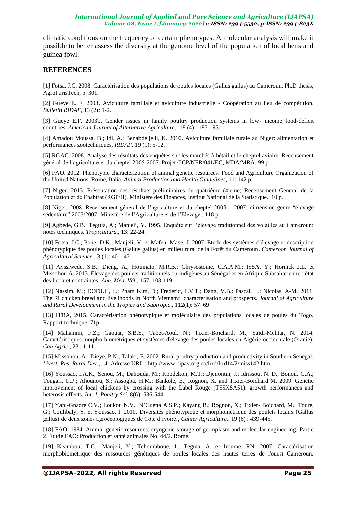climatic conditions on the frequency of certain phenotypes. A molecular analysis will make it possible to better assess the diversity at the genome level of the population of local hens and guinea fowl.

# **REFERENCES**

[1] Fotsa, J.C. 2008. Caractérisation des populations de poules locales (Gallus gallus) au Cameroun. Ph.D thesis, AgroParisTech, p. 301.

[2] Gueye E. F. 2003. Aviculture familiale et aviculture industrielle - Coopération au lieu de compétition. *Bulletin RIDAF*, 13 (2): 1-2.

[3] Gueye E.F. 2003b. Gender issues in family poultry production systems in low- income food-deficit countries. *American Journal of Alternative Agriculture*., 18 (4) : 185-195.

[4] Amadou Moussa, B.; Idi, A.; Benabdeljelil, K. 2010. Aviculture familiale rurale au Niger: alimentation et performances zootechniques. *RIDAF*, 19 (1): 5-12.

[5] RGAC. 2008. Analyse des résultats des enquêtes sur les marchés à bétail et le cheptel aviaire. Recensement général de l'agriculture et du cheptel 2005-2007. Projet GCP/NER/041/EC, MDA/MRA. 99 p.

[6] FAO. 2012. Phenotypic characterization of animal genetic resources. Food and Agriculture Organization of the United Nations. Rome, Italia. *Animal Production and Health Guidelines*, 11: 142 p.

[7] Niger. 2013. Présentation des résultats préliminaires du quatrième (4ieme) Recensement General de la Population et de l'habitat (RGP/H). Ministère des Finances, Institut National de la Statistique., 10 p.

[8] Niger, 2008. Recensement général de l'agriculture et du cheptel 2005 – 2007: dimension genre "élevage sédentaire" 2005/2007. Ministère de l'Agriculture et de l'Elevage., 118 p.

[9] Agbede, G.B.; Teguia, A.; Manjeli, Y. 1995. Enquête sur l'élevage traditionnel des volailles au Cameroun: notes techniques. *Tropicultura.*, 13: 22-24.

[10] Fotsa, J.C.; Pone, D.K.; Manjeli, Y. et Mafeni Mase, J. 2007. Etude des systèmes d'élevage et description phénotypique des poules locales (Gallus gallus) en milieu rural de la Forêt du Cameroun. *Cameroon Journal of Agricultural Science.,* 3 (1): 40 – 47

[11] Ayssiwede, S.B.; Dieng, A.; Houinato, M.R.B.; Chrysostome, C.A.A.M.; ISSA, Y.; Hornick J.L. et Missohou A. 2013. Elevage des poulets traditionnels ou indigènes au Sénégal et en Afrique Subsaharienne : état des lieux et contraintes. *Ann. Méd. Vét.*, 157: 103-119

[12] Nassim, M.; DODUC, L.; Pham Kim, D.; Frederic, F.V.T.; Dang, V.B.: Pascal, L.; Nicolas, A-M. 2011. The Ri chicken breed and livelihoods in North Vietnam: characterisation and prospects. *Journal of Agriculture and Rural Development in the Tropics and Subtropic*., 112(1): 57–69

[13] ITRA, 2015. Caractérisation phénotypique et moléculaire des populations locales de poules du Togo. Rapport technique, 71p.

[14] Mahammi, F.Z.; Gaouar, S.B.S.; Tabet-Aoul, N.; Tixier-Boichard, M.; Saïdi-Mehtar, N. 2014. Caractéristiques morpho-biométriques et systèmes d'élevage des poules locales en Algérie occidentale (Oranie). *Cah Agric*., 23 : 1-11.

[15] Missohou, A.; Dieye, P.N.; Talaki, E. 2002. Rural poultry production and productivity in Southern Senegal. *Livest. Res. Rural Dev*., 14: Adresse URL : http://www.cipav.org.co/lrrd/lrrd14/2/miss142.htm

[16] Youssao, I.A.K.; Senou, M.; Dahouda, M.; Kpodekon, M.T.; Djenontin, J.; Idrissou, N. D.; Bonou, G.A.; Tougan, U.P.; Ahounou, S.; Assogba, H.M.; Bankole, E.; Rognon, X. and Tixier-Boichard M. 2009. Genetic improvement of local chickens by crossing with the Label Rouge (T55XSA51): growth performances and heterosis effects. *Int. J. Poultry Sci*. 8(6): 536-544.

[17] Yapi-Gnaore C.V.; Loukou N.V.; N'Guetta A.S.P.; Kayang B.; Rognon, X.; Tixier- Boichard, M.; Toure, G.; Coulibaly, Y. et Youssao, I. 2010. Diversités phénotypique et morphométrique des poulets locaux (Gallus gallus) de deux zones agroécologiques de Côte d'Ivoire., *Cahier Agriculture.,* 19 (6) : 439-445.

[18] FAO, 1984. Animal genetic resources: cryogenic storage of germplasm and molecular engineering. Partie 2. Étude FAO: Production et santé animales No. 44/2. Rome.

[19] Keambou, T.C.; Manjeli, Y.; Tchoumboue, J.; Teguia, A. et Iroume, RN. 2007: Caractérisation morphobiométrique des ressources génétiques de poules locales des hautes terres de l'ouest Cameroun.